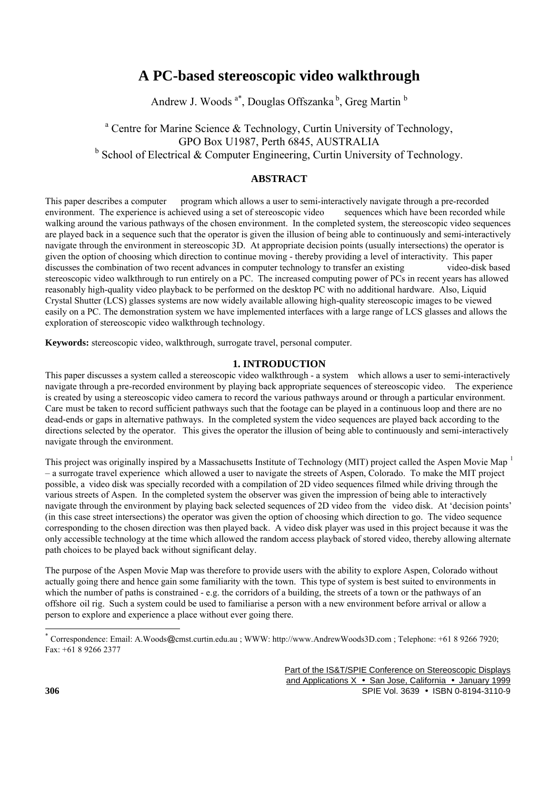# **A PC-based stereoscopic video walkthrough**

Andrew J. Woods <sup>a\*</sup>, Douglas Offszanka <sup>b</sup>, Greg Martin <sup>b</sup>

<sup>a</sup> Centre for Marine Science & Technology, Curtin University of Technology, GPO Box U1987, Perth 6845, AUSTRALIA <sup>b</sup> School of Electrical & Computer Engineering, Curtin University of Technology.

# **ABSTRACT**

This paper describes a computer program which allows a user to semi-interactively navigate through a pre-recorded environment. The experience is achieved using a set of stereoscopic video sequences which have been recorded while walking around the various pathways of the chosen environment. In the completed system, the stereoscopic video sequences are played back in a sequence such that the operator is given the illusion of being able to continuously and semi-interactively navigate through the environment in stereoscopic 3D. At appropriate decision points (usually intersections) the operator is given the option of choosing which direction to continue moving - thereby providing a level of interactivity. This paper discusses the combination of two recent advances in computer technology to transfer an existing video-disk based stereoscopic video walkthrough to run entirely on a PC. The increased computing power of PCs in recent years has allowed reasonably high-quality video playback to be performed on the desktop PC with no additional hardware. Also, Liquid Crystal Shutter (LCS) glasses systems are now widely available allowing high-quality stereoscopic images to be viewed easily on a PC. The demonstration system we have implemented interfaces with a large range of LCS glasses and allows the exploration of stereoscopic video walkthrough technology.

**Keywords:** stereoscopic video, walkthrough, surrogate travel, personal computer.

# **1. INTRODUCTION**

This paper discusses a system called a stereoscopic video walkthrough - a system which allows a user to semi-interactively navigate through a pre-recorded environment by playing back appropriate sequences of stereoscopic video. The experience is created by using a stereoscopic video camera to record the various pathways around or through a particular environment. Care must be taken to record sufficient pathways such that the footage can be played in a continuous loop and there are no dead-ends or gaps in alternative pathways. In the completed system the video sequences are played back according to the directions selected by the operator. This gives the operator the illusion of being able to continuously and semi-interactively navigate through the environment.

This project was originally inspired by a Massachusetts Institute of Technology (MIT) project called the Aspen Movie Map <sup>1</sup> – a surrogate travel experience which allowed a user to navigate the streets of Aspen, Colorado. To make the MIT project possible, a video disk was specially recorded with a compilation of 2D video sequences filmed while driving through the various streets of Aspen. In the completed system the observer was given the impression of being able to interactively navigate through the environment by playing back selected sequences of 2D video from the video disk. At 'decision points' (in this case street intersections) the operator was given the option of choosing which direction to go. The video sequence corresponding to the chosen direction was then played back. A video disk player was used in this project because it was the only accessible technology at the time which allowed the random access playback of stored video, thereby allowing alternate path choices to be played back without significant delay.

The purpose of the Aspen Movie Map was therefore to provide users with the ability to explore Aspen, Colorado without actually going there and hence gain some familiarity with the town. This type of system is best suited to environments in which the number of paths is constrained - e.g. the corridors of a building, the streets of a town or the pathways of an offshore oil rig. Such a system could be used to familiarise a person with a new environment before arrival or allow a person to explore and experience a place without ever going there.

l

<sup>\*</sup> Correspondence: Email: A.Woods@cmst.curtin.edu.au ; WWW: http://www.AndrewWoods3D.com ; Telephone: +61 8 9266 7920; Fax: +61 8 9266 2377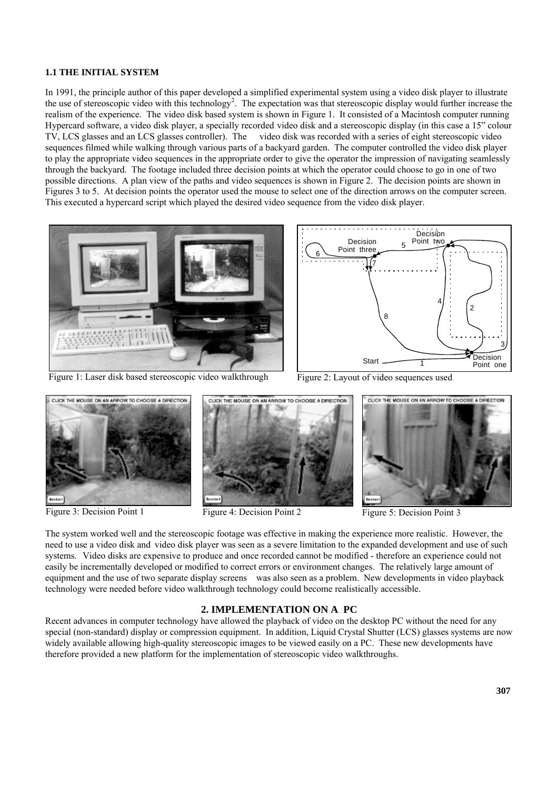#### **1.1 THE INITIAL SYSTEM**

In 1991, the principle author of this paper developed a simplified experimental system using a video disk player to illustrate the use of stereoscopic video with this technology<sup>2</sup>. The expectation was that stereoscopic display would further increase the realism of the experience. The video disk based system is shown in Figure 1. It consisted of a Macintosh computer running Hypercard software, a video disk player, a specially recorded video disk and a stereoscopic display (in this case a 15" colour TV, LCS glasses and an LCS glasses controller). The video disk was recorded with a series of eight stereoscopic video sequences filmed while walking through various parts of a backyard garden. The computer controlled the video disk player to play the appropriate video sequences in the appropriate order to give the operator the impression of navigating seamlessly through the backyard. The footage included three decision points at which the operator could choose to go in one of two possible directions. A plan view of the paths and video sequences is shown in Figure 2. The decision points are shown in Figures 3 to 5. At decision points the operator used the mouse to select one of the direction arrows on the computer screen. This executed a hypercard script which played the desired video sequence from the video disk player.



Figure 1: Laser disk based stereoscopic video walkthrough Figure 2: Layout of video sequences used









Figure 3: Decision Point 1 Figure 4: Decision Point 2 Figure 5: Decision Point 3

The system worked well and the stereoscopic footage was effective in making the experience more realistic. However, the need to use a video disk and video disk player was seen as a severe limitation to the expanded development and use of such systems. Video disks are expensive to produce and once recorded cannot be modified - therefore an experience could not easily be incrementally developed or modified to correct errors or environment changes. The relatively large amount of equipment and the use of two separate display screens was also seen as a problem. New developments in video playback technology were needed before video walkthrough technology could become realistically accessible.

## **2. IMPLEMENTATION ON A PC**

Recent advances in computer technology have allowed the playback of video on the desktop PC without the need for any special (non-standard) display or compression equipment. In addition, Liquid Crystal Shutter (LCS) glasses systems are now widely available allowing high-quality stereoscopic images to be viewed easily on a PC. These new developments have therefore provided a new platform for the implementation of stereoscopic video walkthroughs.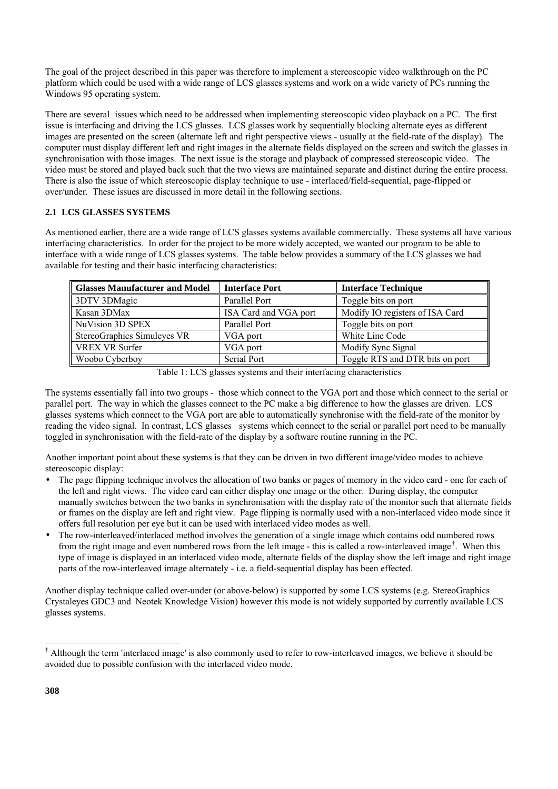The goal of the project described in this paper was therefore to implement a stereoscopic video walkthrough on the PC platform which could be used with a wide range of LCS glasses systems and work on a wide variety of PCs running the Windows 95 operating system.

There are several issues which need to be addressed when implementing stereoscopic video playback on a PC. The first issue is interfacing and driving the LCS glasses. LCS glasses work by sequentially blocking alternate eyes as different images are presented on the screen (alternate left and right perspective views - usually at the field-rate of the display). The computer must display different left and right images in the alternate fields displayed on the screen and switch the glasses in synchronisation with those images. The next issue is the storage and playback of compressed stereoscopic video. The video must be stored and played back such that the two views are maintained separate and distinct during the entire process. There is also the issue of which stereoscopic display technique to use - interlaced/field-sequential, page-flipped or over/under. These issues are discussed in more detail in the following sections.

# **2.1 LCS GLASSES SYSTEMS**

As mentioned earlier, there are a wide range of LCS glasses systems available commercially. These systems all have various interfacing characteristics. In order for the project to be more widely accepted, we wanted our program to be able to interface with a wide range of LCS glasses systems. The table below provides a summary of the LCS glasses we had available for testing and their basic interfacing characteristics:

| <b>Glasses Manufacturer and Model</b> | <b>Interface Port</b> | <b>Interface Technique</b>      |
|---------------------------------------|-----------------------|---------------------------------|
| 3DTV 3DMagic                          | Parallel Port         | Toggle bits on port             |
| Kasan 3DMax                           | ISA Card and VGA port | Modify IO registers of ISA Card |
| NuVision 3D SPEX                      | Parallel Port         | Toggle bits on port             |
| StereoGraphics Simuleyes VR           | VGA port              | White Line Code                 |
| <b>VREX VR Surfer</b>                 | VGA port              | Modify Sync Signal              |
| Woobo Cyberboy                        | Serial Port           | Toggle RTS and DTR bits on port |

Table 1: LCS glasses systems and their interfacing characteristics

The systems essentially fall into two groups - those which connect to the VGA port and those which connect to the serial or parallel port. The way in which the glasses connect to the PC make a big difference to how the glasses are driven. LCS glasses systems which connect to the VGA port are able to automatically synchronise with the field-rate of the monitor by reading the video signal. In contrast, LCS glasses systems which connect to the serial or parallel port need to be manually toggled in synchronisation with the field-rate of the display by a software routine running in the PC.

Another important point about these systems is that they can be driven in two different image/video modes to achieve stereoscopic display:

- The page flipping technique involves the allocation of two banks or pages of memory in the video card one for each of the left and right views. The video card can either display one image or the other. During display, the computer manually switches between the two banks in synchronisation with the display rate of the monitor such that alternate fields or frames on the display are left and right view. Page flipping is normally used with a non-interlaced video mode since it offers full resolution per eye but it can be used with interlaced video modes as well.
- The row-interleaved/interlaced method involves the generation of a single image which contains odd numbered rows from the right image and even numbered rows from the left image - this is called a row-interleaved image<sup>†</sup>. When this type of image is displayed in an interlaced video mode, alternate fields of the display show the left image and right image parts of the row-interleaved image alternately - i.e. a field-sequential display has been effected.

Another display technique called over-under (or above-below) is supported by some LCS systems (e.g. StereoGraphics Crystaleyes GDC3 and Neotek Knowledge Vision) however this mode is not widely supported by currently available LCS glasses systems.

-

<sup>†</sup> Although the term 'interlaced image' is also commonly used to refer to row-interleaved images, we believe it should be avoided due to possible confusion with the interlaced video mode.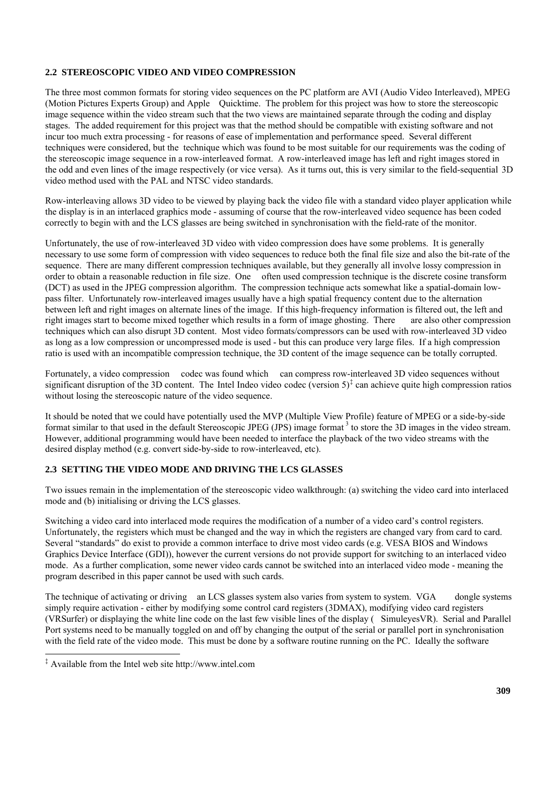## **2.2 STEREOSCOPIC VIDEO AND VIDEO COMPRESSION**

The three most common formats for storing video sequences on the PC platform are AVI (Audio Video Interleaved), MPEG (Motion Pictures Experts Group) and Apple Quicktime. The problem for this project was how to store the stereoscopic image sequence within the video stream such that the two views are maintained separate through the coding and display stages. The added requirement for this project was that the method should be compatible with existing software and not incur too much extra processing - for reasons of ease of implementation and performance speed. Several different techniques were considered, but the technique which was found to be most suitable for our requirements was the coding of the stereoscopic image sequence in a row-interleaved format. A row-interleaved image has left and right images stored in the odd and even lines of the image respectively (or vice versa). As it turns out, this is very similar to the field-sequential 3D video method used with the PAL and NTSC video standards.

Row-interleaving allows 3D video to be viewed by playing back the video file with a standard video player application while the display is in an interlaced graphics mode - assuming of course that the row-interleaved video sequence has been coded correctly to begin with and the LCS glasses are being switched in synchronisation with the field-rate of the monitor.

Unfortunately, the use of row-interleaved 3D video with video compression does have some problems. It is generally necessary to use some form of compression with video sequences to reduce both the final file size and also the bit-rate of the sequence. There are many different compression techniques available, but they generally all involve lossy compression in order to obtain a reasonable reduction in file size. One often used compression technique is the discrete cosine transform (DCT) as used in the JPEG compression algorithm. The compression technique acts somewhat like a spatial-domain lowpass filter. Unfortunately row-interleaved images usually have a high spatial frequency content due to the alternation between left and right images on alternate lines of the image. If this high-frequency information is filtered out, the left and right images start to become mixed together which results in a form of image ghosting. There are also other compression techniques which can also disrupt 3D content. Most video formats/compressors can be used with row-interleaved 3D video as long as a low compression or uncompressed mode is used - but this can produce very large files. If a high compression ratio is used with an incompatible compression technique, the 3D content of the image sequence can be totally corrupted.

Fortunately, a video compression codec was found which can compress row-interleaved 3D video sequences without significant disruption of the 3D content. The Intel Indeo video codec (version  $5$ )<sup> $\ddagger$ </sup> can achieve quite high compression ratios without losing the stereoscopic nature of the video sequence.

It should be noted that we could have potentially used the MVP (Multiple View Profile) feature of MPEG or a side-by-side format similar to that used in the default Stereoscopic JPEG (JPS) image format<sup>3</sup> to store the 3D images in the video stream. However, additional programming would have been needed to interface the playback of the two video streams with the desired display method (e.g. convert side-by-side to row-interleaved, etc).

## **2.3 SETTING THE VIDEO MODE AND DRIVING THE LCS GLASSES**

Two issues remain in the implementation of the stereoscopic video walkthrough: (a) switching the video card into interlaced mode and (b) initialising or driving the LCS glasses.

Switching a video card into interlaced mode requires the modification of a number of a video card's control registers. Unfortunately, the registers which must be changed and the way in which the registers are changed vary from card to card. Several "standards" do exist to provide a common interface to drive most video cards (e.g. VESA BIOS and Windows Graphics Device Interface (GDI)), however the current versions do not provide support for switching to an interlaced video mode. As a further complication, some newer video cards cannot be switched into an interlaced video mode - meaning the program described in this paper cannot be used with such cards.

The technique of activating or driving an LCS glasses system also varies from system to system. VGA dongle systems simply require activation - either by modifying some control card registers (3DMAX), modifying video card registers (VRSurfer) or displaying the white line code on the last few visible lines of the display ( SimuleyesVR). Serial and Parallel Port systems need to be manually toggled on and off by changing the output of the serial or parallel port in synchronisation with the field rate of the video mode. This must be done by a software routine running on the PC. Ideally the software

l

<sup>‡</sup> Available from the Intel web site http://www.intel.com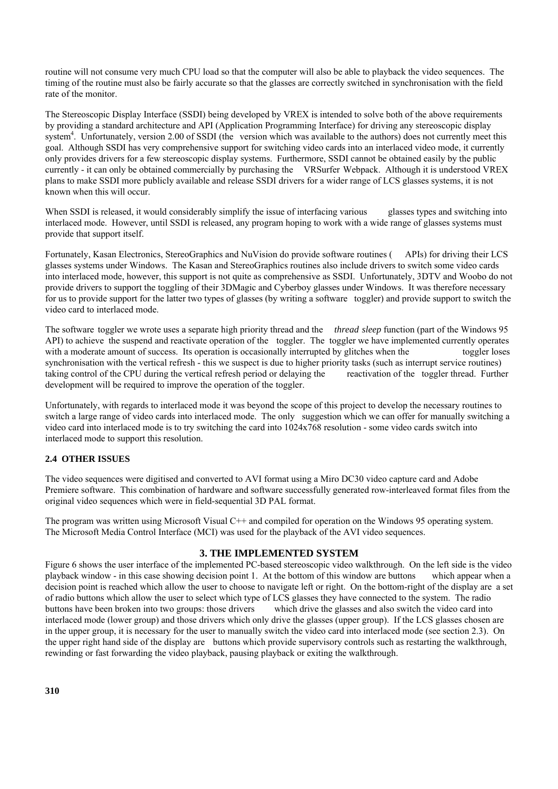routine will not consume very much CPU load so that the computer will also be able to playback the video sequences. The timing of the routine must also be fairly accurate so that the glasses are correctly switched in synchronisation with the field rate of the monitor.

The Stereoscopic Display Interface (SSDI) being developed by VREX is intended to solve both of the above requirements by providing a standard architecture and API (Application Programming Interface) for driving any stereoscopic display system<sup>4</sup>. Unfortunately, version 2.00 of SSDI (the version which was available to the authors) does not currently meet this goal. Although SSDI has very comprehensive support for switching video cards into an interlaced video mode, it currently only provides drivers for a few stereoscopic display systems. Furthermore, SSDI cannot be obtained easily by the public currently - it can only be obtained commercially by purchasing the VRSurfer Webpack. Although it is understood VREX plans to make SSDI more publicly available and release SSDI drivers for a wider range of LCS glasses systems, it is not known when this will occur.

When SSDI is released, it would considerably simplify the issue of interfacing various glasses types and switching into interlaced mode. However, until SSDI is released, any program hoping to work with a wide range of glasses systems must provide that support itself.

Fortunately, Kasan Electronics, StereoGraphics and NuVision do provide software routines ( APIs) for driving their LCS glasses systems under Windows. The Kasan and StereoGraphics routines also include drivers to switch some video cards into interlaced mode, however, this support is not quite as comprehensive as SSDI. Unfortunately, 3DTV and Woobo do not provide drivers to support the toggling of their 3DMagic and Cyberboy glasses under Windows. It was therefore necessary for us to provide support for the latter two types of glasses (by writing a software toggler) and provide support to switch the video card to interlaced mode.

The software toggler we wrote uses a separate high priority thread and the *thread sleep* function (part of the Windows 95 API) to achieve the suspend and reactivate operation of the toggler. The toggler we have implemented currently operates with a moderate amount of success. Its operation is occasionally interrupted by glitches when the toggler loses synchronisation with the vertical refresh - this we suspect is due to higher priority tasks (such as interrupt service routines) taking control of the CPU during the vertical refresh period or delaying the reactivation of the toggler thread. Further development will be required to improve the operation of the toggler.

Unfortunately, with regards to interlaced mode it was beyond the scope of this project to develop the necessary routines to switch a large range of video cards into interlaced mode. The only suggestion which we can offer for manually switching a video card into interlaced mode is to try switching the card into 1024x768 resolution - some video cards switch into interlaced mode to support this resolution.

### **2.4 OTHER ISSUES**

The video sequences were digitised and converted to AVI format using a Miro DC30 video capture card and Adobe Premiere software. This combination of hardware and software successfully generated row-interleaved format files from the original video sequences which were in field-sequential 3D PAL format.

The program was written using Microsoft Visual C++ and compiled for operation on the Windows 95 operating system. The Microsoft Media Control Interface (MCI) was used for the playback of the AVI video sequences.

### **3. THE IMPLEMENTED SYSTEM**

Figure 6 shows the user interface of the implemented PC-based stereoscopic video walkthrough. On the left side is the video playback window - in this case showing decision point 1. At the bottom of this window are buttons which appear when a decision point is reached which allow the user to choose to navigate left or right. On the bottom-right of the display are a set of radio buttons which allow the user to select which type of LCS glasses they have connected to the system. The radio buttons have been broken into two groups: those drivers which drive the glasses and also switch the video card into interlaced mode (lower group) and those drivers which only drive the glasses (upper group). If the LCS glasses chosen are in the upper group, it is necessary for the user to manually switch the video card into interlaced mode (see section 2.3). On the upper right hand side of the display are buttons which provide supervisory controls such as restarting the walkthrough, rewinding or fast forwarding the video playback, pausing playback or exiting the walkthrough.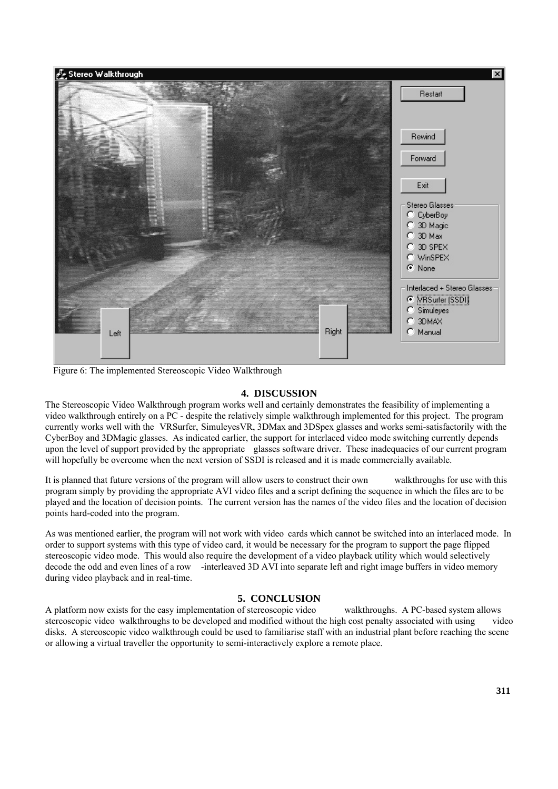

Figure 6: The implemented Stereoscopic Video Walkthrough

### **4. DISCUSSION**

The Stereoscopic Video Walkthrough program works well and certainly demonstrates the feasibility of implementing a video walkthrough entirely on a PC - despite the relatively simple walkthrough implemented for this project. The program currently works well with the VRSurfer, SimuleyesVR, 3DMax and 3DSpex glasses and works semi-satisfactorily with the CyberBoy and 3DMagic glasses. As indicated earlier, the support for interlaced video mode switching currently depends upon the level of support provided by the appropriate glasses software driver. These inadequacies of our current program will hopefully be overcome when the next version of SSDI is released and it is made commercially available.

It is planned that future versions of the program will allow users to construct their own walkthroughs for use with this program simply by providing the appropriate AVI video files and a script defining the sequence in which the files are to be played and the location of decision points. The current version has the names of the video files and the location of decision points hard-coded into the program.

As was mentioned earlier, the program will not work with video cards which cannot be switched into an interlaced mode. In order to support systems with this type of video card, it would be necessary for the program to support the page flipped stereoscopic video mode. This would also require the development of a video playback utility which would selectively decode the odd and even lines of a row -interleaved 3D AVI into separate left and right image buffers in video memory during video playback and in real-time.

# **5. CONCLUSION**

A platform now exists for the easy implementation of stereoscopic video walkthroughs. A PC-based system allows stereoscopic video walkthroughs to be developed and modified without the high cost penalty associated with using video disks. A stereoscopic video walkthrough could be used to familiarise staff with an industrial plant before reaching the scene or allowing a virtual traveller the opportunity to semi-interactively explore a remote place.